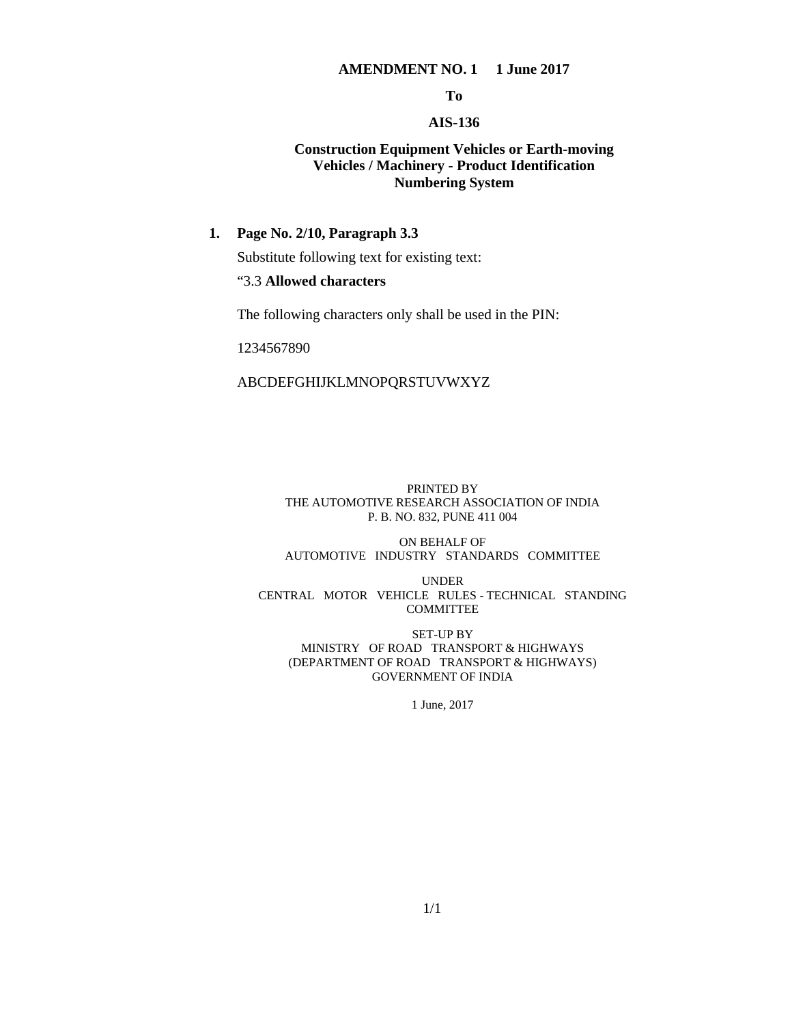#### **AMENDMENT NO. 1 1 June 2017**

**To** 

## **AIS-136**

## **Construction Equipment Vehicles or Earth-moving Vehicles / Machinery - Product Identification Numbering System**

## **1. Page No. 2/10, Paragraph 3.3**

Substitute following text for existing text:

## "3.3 **Allowed characters**

The following characters only shall be used in the PIN:

1234567890

#### ABCDEFGHIJKLMNOPQRSTUVWXYZ

#### PRINTED BY THE AUTOMOTIVE RESEARCH ASSOCIATION OF INDIA P. B. NO. 832, PUNE 411 004

#### ON BEHALF OF AUTOMOTIVE INDUSTRY STANDARDS COMMITTEE

UNDER CENTRAL MOTOR VEHICLE RULES - TECHNICAL STANDING COMMITTEE

SET-UP BY MINISTRY OF ROAD TRANSPORT & HIGHWAYS (DEPARTMENT OF ROAD TRANSPORT & HIGHWAYS) GOVERNMENT OF INDIA

1 June, 2017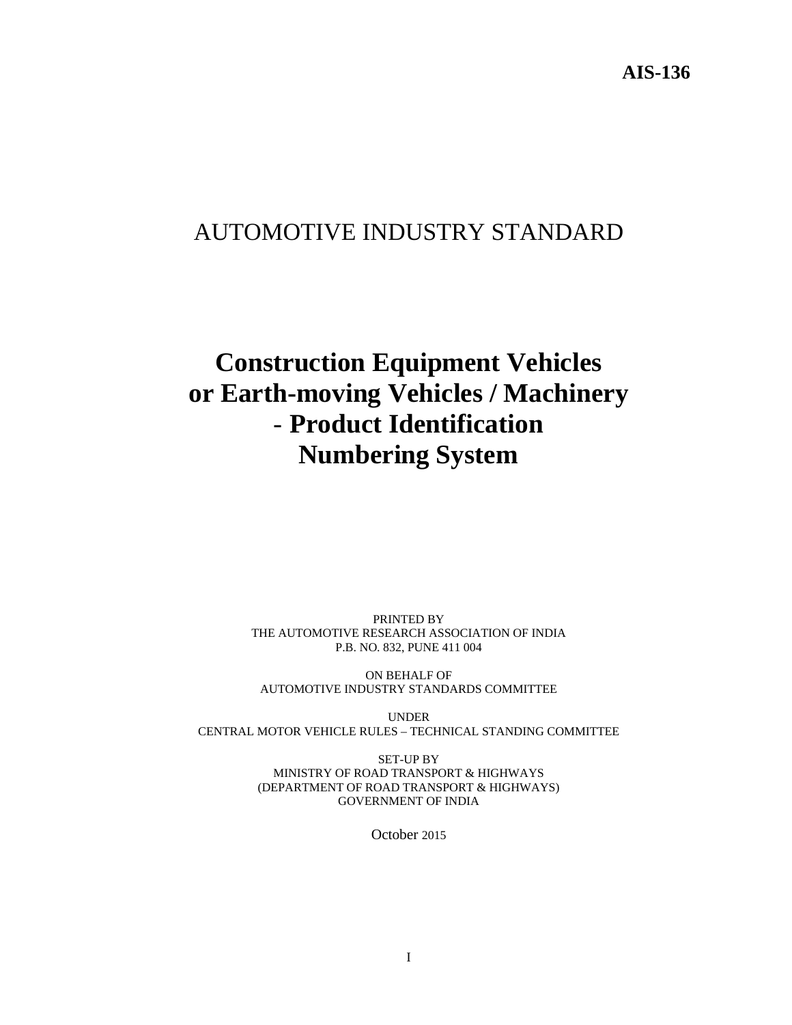## AUTOMOTIVE INDUSTRY STANDARD

# **Construction Equipment Vehicles or Earth-moving Vehicles / Machinery**  - **Product Identification Numbering System**

PRINTED BY THE AUTOMOTIVE RESEARCH ASSOCIATION OF INDIA P.B. NO. 832, PUNE 411 004

ON BEHALF OF AUTOMOTIVE INDUSTRY STANDARDS COMMITTEE

UNDER CENTRAL MOTOR VEHICLE RULES – TECHNICAL STANDING COMMITTEE

> SET-UP BY MINISTRY OF ROAD TRANSPORT & HIGHWAYS (DEPARTMENT OF ROAD TRANSPORT & HIGHWAYS) GOVERNMENT OF INDIA

> > October 2015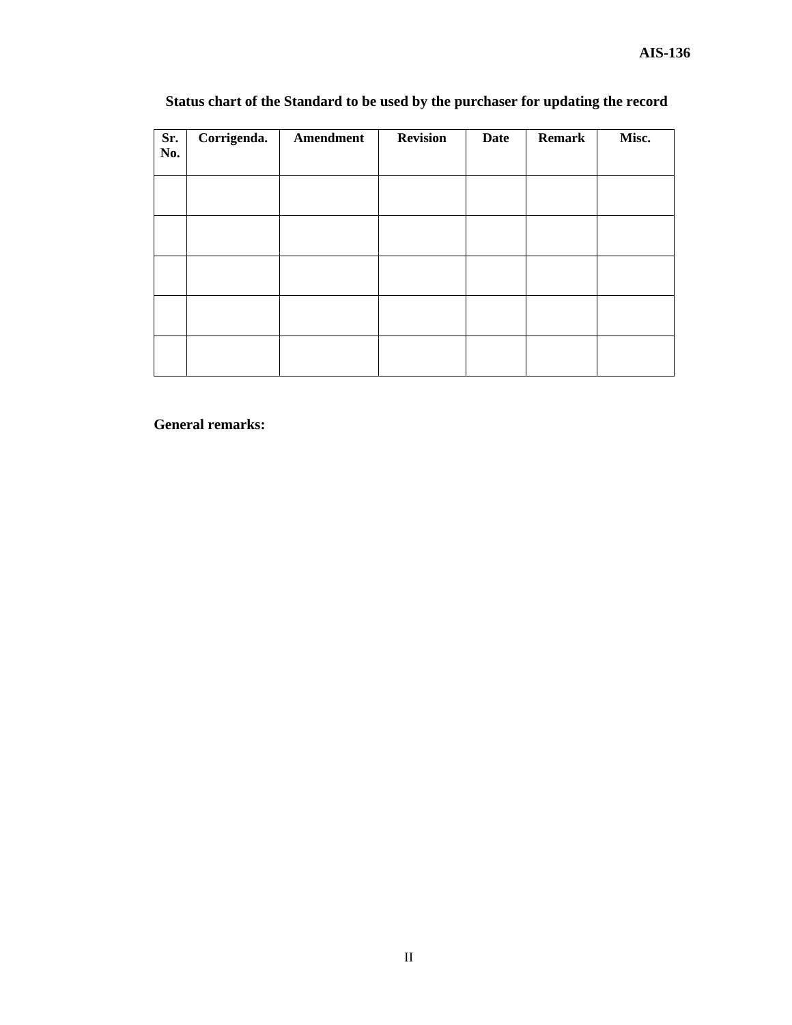| Sr.<br>No. | Corrigenda. | Amendment | <b>Revision</b> | <b>Date</b> | <b>Remark</b> | Misc. |
|------------|-------------|-----------|-----------------|-------------|---------------|-------|
|            |             |           |                 |             |               |       |
|            |             |           |                 |             |               |       |
|            |             |           |                 |             |               |       |
|            |             |           |                 |             |               |       |
|            |             |           |                 |             |               |       |
|            |             |           |                 |             |               |       |
|            |             |           |                 |             |               |       |
|            |             |           |                 |             |               |       |
|            |             |           |                 |             |               |       |
|            |             |           |                 |             |               |       |
|            |             |           |                 |             |               |       |

## **Status chart of the Standard to be used by the purchaser for updating the record**

**General remarks:**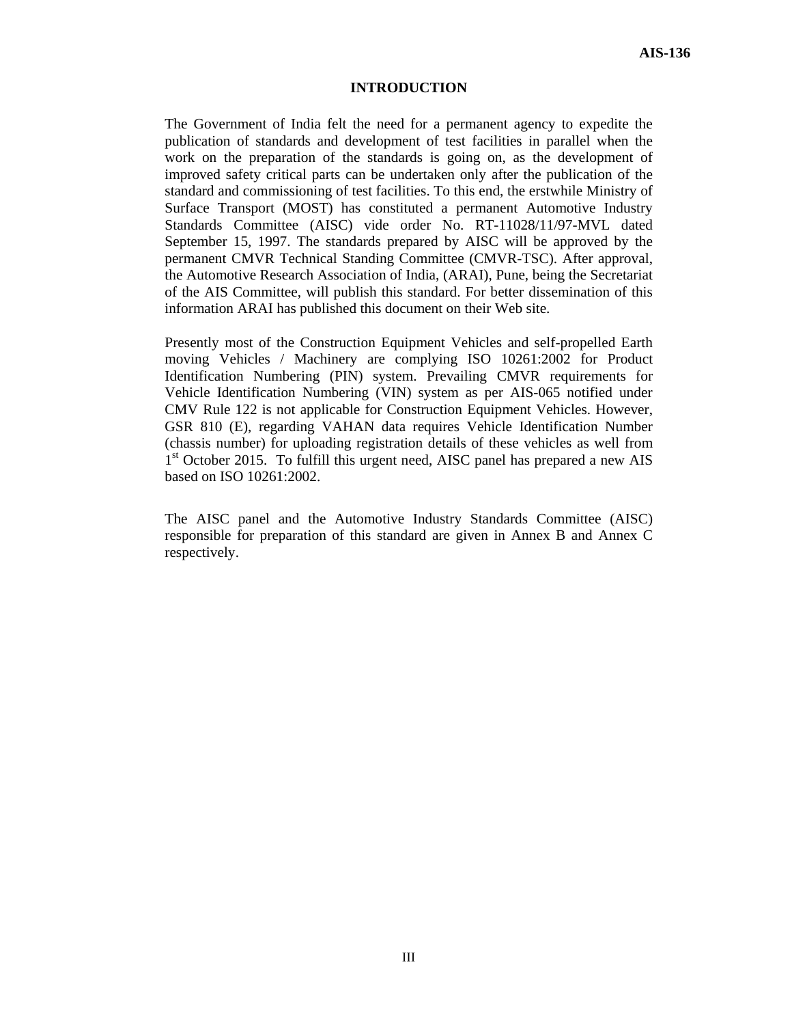#### **INTRODUCTION**

The Government of India felt the need for a permanent agency to expedite the publication of standards and development of test facilities in parallel when the work on the preparation of the standards is going on, as the development of improved safety critical parts can be undertaken only after the publication of the standard and commissioning of test facilities. To this end, the erstwhile Ministry of Surface Transport (MOST) has constituted a permanent Automotive Industry Standards Committee (AISC) vide order No. RT-11028/11/97-MVL dated September 15, 1997. The standards prepared by AISC will be approved by the permanent CMVR Technical Standing Committee (CMVR-TSC). After approval, the Automotive Research Association of India, (ARAI), Pune, being the Secretariat of the AIS Committee, will publish this standard. For better dissemination of this information ARAI has published this document on their Web site.

Presently most of the Construction Equipment Vehicles and self-propelled Earth moving Vehicles / Machinery are complying ISO 10261:2002 for Product Identification Numbering (PIN) system. Prevailing CMVR requirements for Vehicle Identification Numbering (VIN) system as per AIS-065 notified under CMV Rule 122 is not applicable for Construction Equipment Vehicles. However, GSR 810 (E), regarding VAHAN data requires Vehicle Identification Number (chassis number) for uploading registration details of these vehicles as well from  $1<sup>st</sup>$  October 2015. To fulfill this urgent need, AISC panel has prepared a new AIS based on ISO 10261:2002.

The AISC panel and the Automotive Industry Standards Committee (AISC) responsible for preparation of this standard are given in Annex B and Annex C respectively.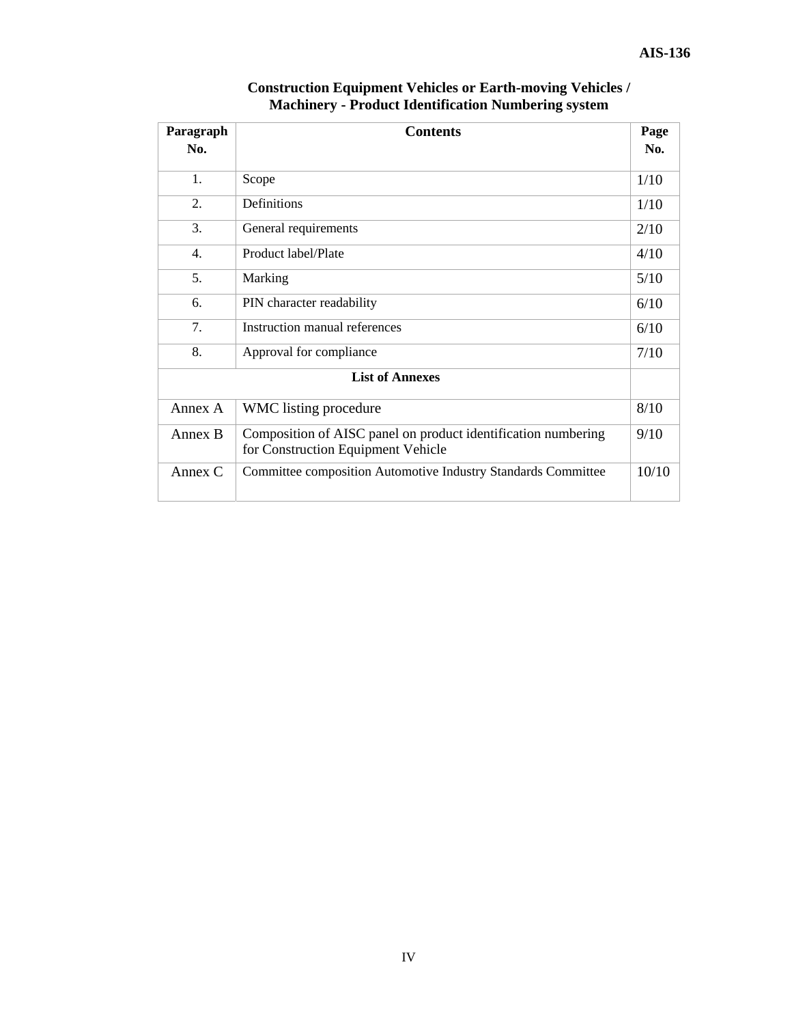| Paragraph<br>No. | <b>Contents</b>                                                                                     |       |
|------------------|-----------------------------------------------------------------------------------------------------|-------|
| 1.               | Scope                                                                                               | 1/10  |
| 2.               | Definitions                                                                                         | 1/10  |
| 3.               | General requirements                                                                                | 2/10  |
| 4.               | Product label/Plate                                                                                 | 4/10  |
| 5.               | Marking                                                                                             | 5/10  |
| 6.               | PIN character readability                                                                           | 6/10  |
| 7.               | Instruction manual references                                                                       | 6/10  |
| 8.               | Approval for compliance                                                                             | 7/10  |
|                  | <b>List of Annexes</b>                                                                              |       |
| Annex A          | WMC listing procedure                                                                               | 8/10  |
| Annex B          | Composition of AISC panel on product identification numbering<br>for Construction Equipment Vehicle | 9/10  |
| Annex $C$        | Committee composition Automotive Industry Standards Committee                                       | 10/10 |

## **Construction Equipment Vehicles or Earth-moving Vehicles / Machinery - Product Identification Numbering system**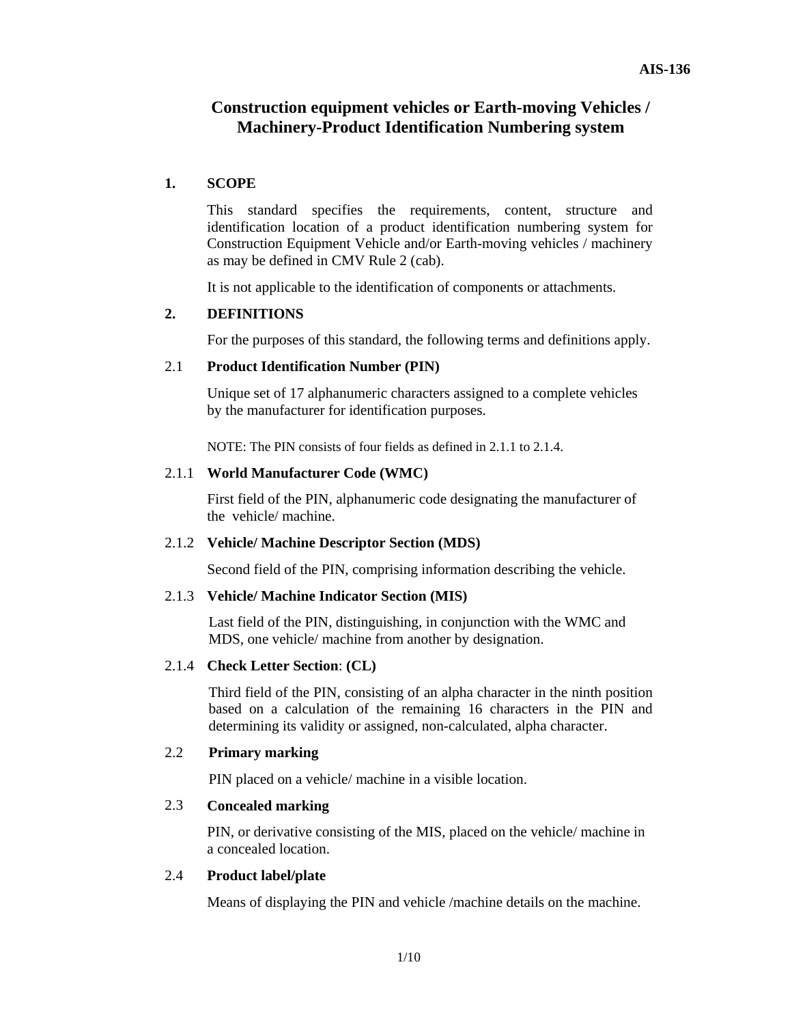## **Construction equipment vehicles or Earth-moving Vehicles / Machinery-Product Identification Numbering system**

## **1. SCOPE**

This standard specifies the requirements, content, structure and identification location of a product identification numbering system for Construction Equipment Vehicle and/or Earth-moving vehicles / machinery as may be defined in CMV Rule 2 (cab).

It is not applicable to the identification of components or attachments.

## **2. DEFINITIONS**

For the purposes of this standard, the following terms and definitions apply.

## 2.1 **Product Identification Number (PIN)**

Unique set of 17 alphanumeric characters assigned to a complete vehicles by the manufacturer for identification purposes.

NOTE: The PIN consists of four fields as defined in 2.1.1 to 2.1.4.

## 2.1.1 **World Manufacturer Code (WMC)**

First field of the PIN, alphanumeric code designating the manufacturer of thevehicle/ machine.

## 2.1.2 **Vehicle/ Machine Descriptor Section (MDS)**

Second field of the PIN, comprising information describing the vehicle.

## 2.1.3 **Vehicle/ Machine Indicator Section (MIS)**

Last field of the PIN, distinguishing, in conjunction with the WMC and MDS, one vehicle/ machine from another by designation.

## 2.1.4 **Check Letter Section**: **(CL)**

Third field of the PIN, consisting of an alpha character in the ninth position based on a calculation of the remaining 16 characters in the PIN and determining its validity or assigned, non-calculated, alpha character.

## 2.2 **Primary marking**

PIN placed on a vehicle/ machine in a visible location.

## 2.3 **Concealed marking**

 PIN, or derivative consisting of the MIS, placed on the vehicle/ machine in a concealed location.

## 2.4 **Product label/plate**

Means of displaying the PIN and vehicle /machine details on the machine.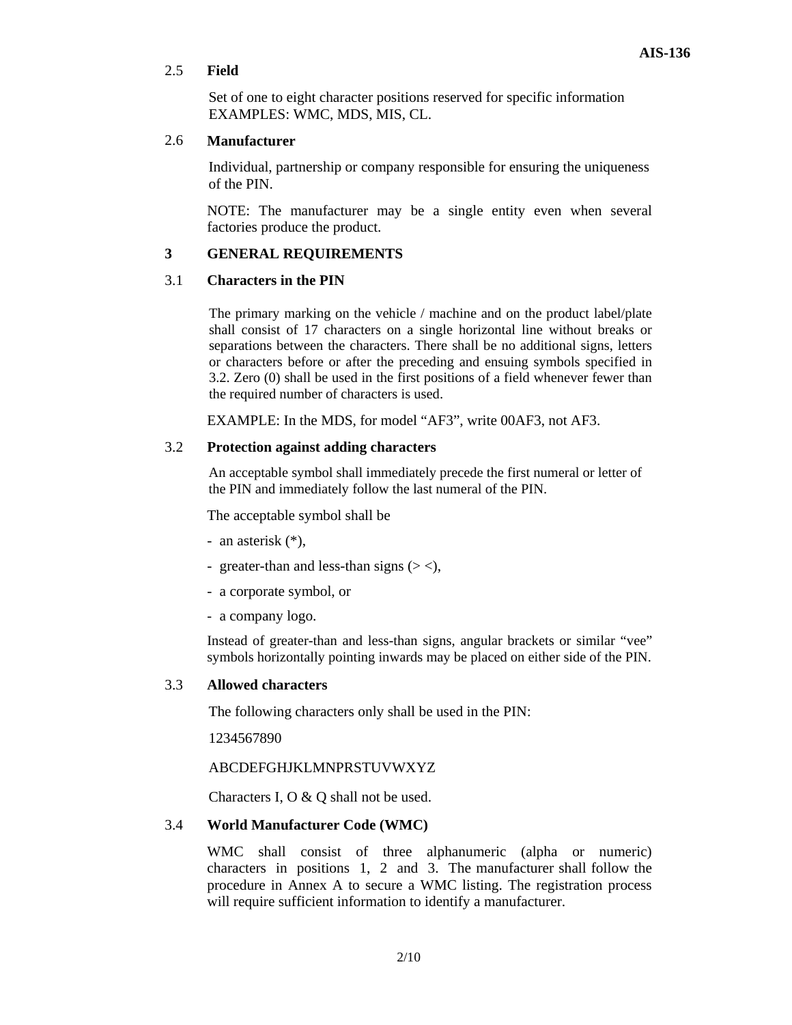## 2.5 **Field**

 Set of one to eight character positions reserved for specific information EXAMPLES: WMC, MDS, MIS, CL.

## 2.6 **Manufacturer**

 Individual, partnership or company responsible for ensuring the uniqueness of the PIN.

 NOTE: The manufacturer may be a single entity even when several factories produce the product.

## **3 GENERAL REQUIREMENTS**

## 3.1 **Characters in the PIN**

The primary marking on the vehicle / machine and on the product label/plate shall consist of 17 characters on a single horizontal line without breaks or separations between the characters. There shall be no additional signs, letters or characters before or after the preceding and ensuing symbols specified in 3.2. Zero (0) shall be used in the first positions of a field whenever fewer than the required number of characters is used.

EXAMPLE: In the MDS, for model "AF3", write 00AF3, not AF3.

## 3.2 **Protection against adding characters**

An acceptable symbol shall immediately precede the first numeral or letter of the PIN and immediately follow the last numeral of the PIN.

The acceptable symbol shall be

- an asterisk (\*),
- greater-than and less-than signs  $(2 <)$ ,
- a corporate symbol, or
- a company logo.

Instead of greater-than and less-than signs, angular brackets or similar "vee" symbols horizontally pointing inwards may be placed on either side of the PIN.

## 3.3 **Allowed characters**

The following characters only shall be used in the PIN:

1234567890

## ABCDEFGHJKLMNPRSTUVWXYZ

Characters I, O & Q shall not be used.

## 3.4 **World Manufacturer Code (WMC)**

 WMC shall consist of three alphanumeric (alpha or numeric) characters in positions 1, 2 and 3. The manufacturer shall follow the procedure in Annex A to secure a WMC listing. The registration process will require sufficient information to identify a manufacturer.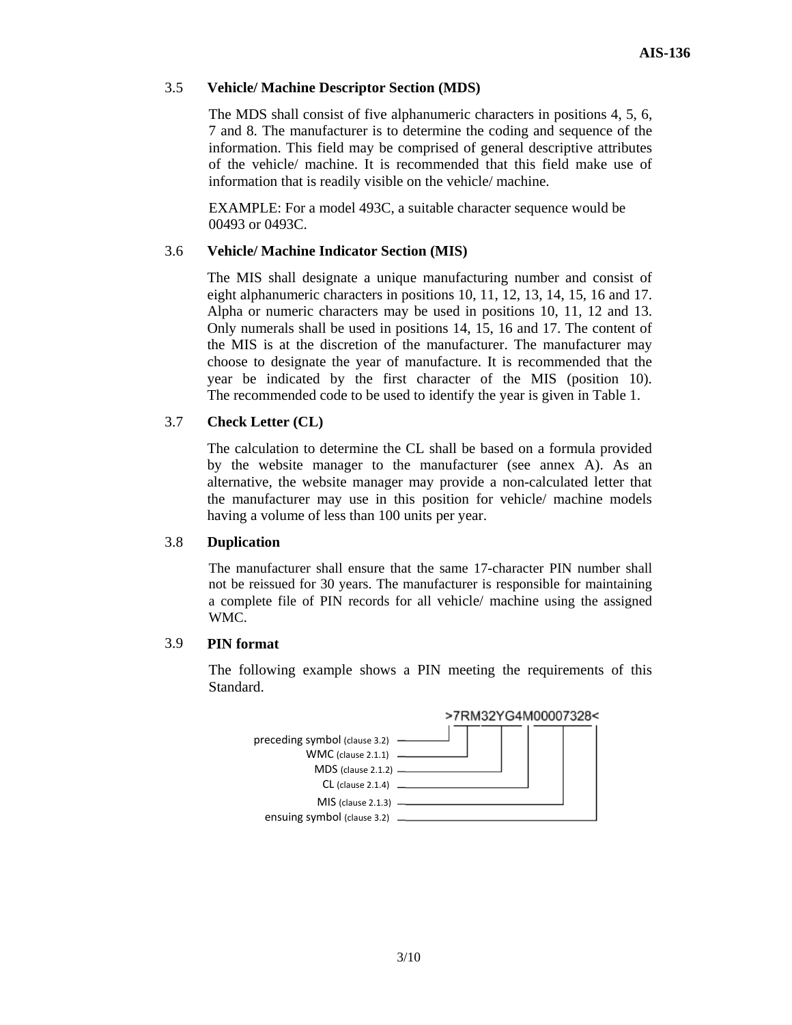## 3.5 **Vehicle/ Machine Descriptor Section (MDS)**

 The MDS shall consist of five alphanumeric characters in positions 4, 5, 6, 7 and 8. The manufacturer is to determine the coding and sequence of the information. This field may be comprised of general descriptive attributes of the vehicle/ machine. It is recommended that this field make use of information that is readily visible on the vehicle/ machine.

 EXAMPLE: For a model 493C, a suitable character sequence would be 00493 or 0493C.

## 3.6 **Vehicle/ Machine Indicator Section (MIS)**

 The MIS shall designate a unique manufacturing number and consist of eight alphanumeric characters in positions 10, 11, 12, 13, 14, 15, 16 and 17. Alpha or numeric characters may be used in positions 10, 11, 12 and 13. Only numerals shall be used in positions 14, 15, 16 and 17. The content of the MIS is at the discretion of the manufacturer. The manufacturer may choose to designate the year of manufacture. It is recommended that the year be indicated by the first character of the MIS (position 10). The recommended code to be used to identify the year is given in Table 1.

## 3.7 **Check Letter (CL)**

 The calculation to determine the CL shall be based on a formula provided by the website manager to the manufacturer (see annex A). As an alternative, the website manager may provide a non-calculated letter that the manufacturer may use in this position for vehicle/ machine models having a volume of less than 100 units per year.

## 3.8 **Duplication**

The manufacturer shall ensure that the same 17-character PIN number shall not be reissued for 30 years. The manufacturer is responsible for maintaining a complete file of PIN records for all vehicle/ machine using the assigned WMC.

## 3.9 **PIN format**

 The following example shows a PIN meeting the requirements of this Standard.

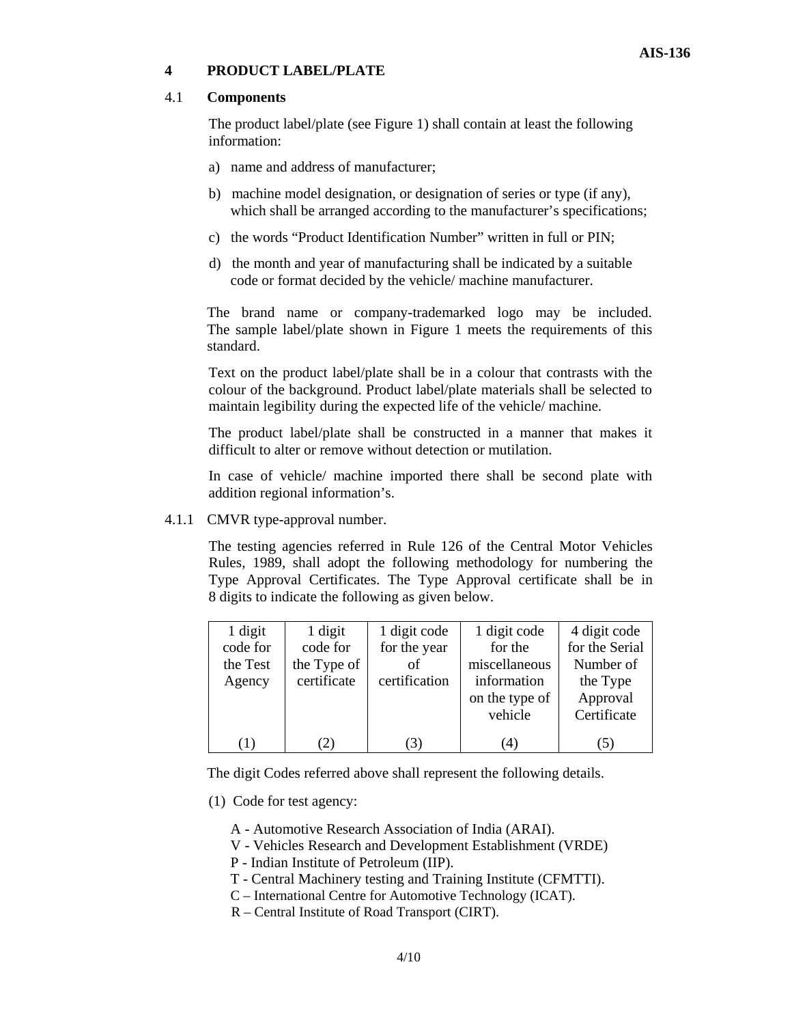## **4 PRODUCT LABEL/PLATE**

## 4.1 **Components**

 The product label/plate (see Figure 1) shall contain at least the following information:

- a) name and address of manufacturer;
- b) machine model designation, or designation of series or type (if any), which shall be arranged according to the manufacturer's specifications;
- c) the words "Product Identification Number" written in full or PIN;
- d) the month and year of manufacturing shall be indicated by a suitable code or format decided by the vehicle/ machine manufacturer.

 The brand name or company-trademarked logo may be included. The sample label/plate shown in Figure 1 meets the requirements of this standard.

 Text on the product label/plate shall be in a colour that contrasts with the colour of the background. Product label/plate materials shall be selected to maintain legibility during the expected life of the vehicle/ machine.

 The product label/plate shall be constructed in a manner that makes it difficult to alter or remove without detection or mutilation.

 In case of vehicle/ machine imported there shall be second plate with addition regional information's.

4.1.1 CMVR type-approval number.

 The testing agencies referred in Rule 126 of the Central Motor Vehicles Rules, 1989, shall adopt the following methodology for numbering the Type Approval Certificates. The Type Approval certificate shall be in 8 digits to indicate the following as given below.

| 1 digit          | 1 digit     | 1 digit code  | 1 digit code   | 4 digit code   |
|------------------|-------------|---------------|----------------|----------------|
| code for         | code for    | for the year  | for the        | for the Serial |
| the Test         | the Type of | of            | miscellaneous  | Number of      |
| Agency           | certificate | certification | information    | the Type       |
|                  |             |               | on the type of | Approval       |
|                  |             |               | vehicle        | Certificate    |
|                  |             |               |                |                |
| $\left(1\right)$ | (2)         |               | (4)            |                |

The digit Codes referred above shall represent the following details.

- (1) Code for test agency:
	- A Automotive Research Association of India (ARAI).
	- V Vehicles Research and Development Establishment (VRDE)
	- P Indian Institute of Petroleum (IIP).
	- T Central Machinery testing and Training Institute (CFMTTI).
	- C International Centre for Automotive Technology (ICAT).
	- R Central Institute of Road Transport (CIRT).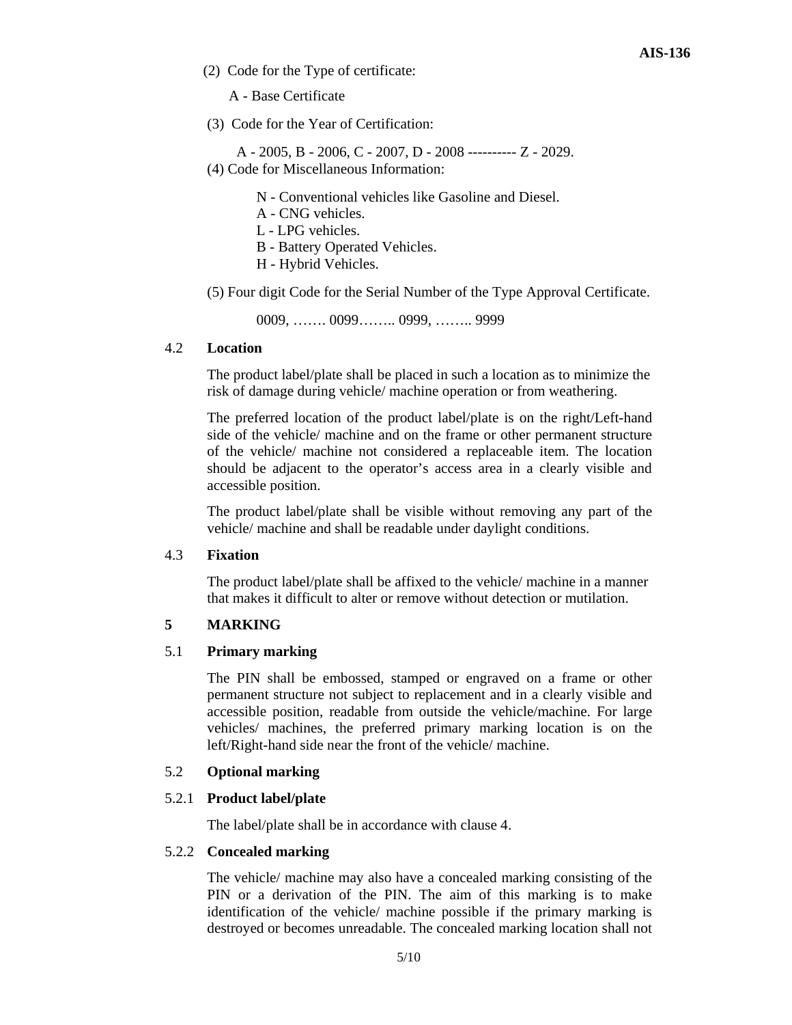(2) Code for the Type of certificate:

A - Base Certificate

(3) Code for the Year of Certification:

 A - 2005, B - 2006, C - 2007, D - 2008 ---------- Z - 2029. (4) Code for Miscellaneous Information:

- N Conventional vehicles like Gasoline and Diesel.
- A CNG vehicles.
- L LPG vehicles.
- B Battery Operated Vehicles.
- H Hybrid Vehicles.

(5) Four digit Code for the Serial Number of the Type Approval Certificate.

0009, ……. 0099…….. 0999, …….. 9999

## 4.2 **Location**

 The product label/plate shall be placed in such a location as to minimize the risk of damage during vehicle/ machine operation or from weathering.

 The preferred location of the product label/plate is on the right/Left-hand side of the vehicle/ machine and on the frame or other permanent structure of the vehicle/ machine not considered a replaceable item. The location should be adjacent to the operator's access area in a clearly visible and accessible position.

 The product label/plate shall be visible without removing any part of the vehicle/ machine and shall be readable under daylight conditions.

## 4.3 **Fixation**

 The product label/plate shall be affixed to the vehicle/ machine in a manner that makes it difficult to alter or remove without detection or mutilation.

## **5 MARKING**

## 5.1 **Primary marking**

 The PIN shall be embossed, stamped or engraved on a frame or other permanent structure not subject to replacement and in a clearly visible and accessible position, readable from outside the vehicle/machine. For large vehicles/ machines, the preferred primary marking location is on the left/Right-hand side near the front of the vehicle/ machine.

## 5.2 **Optional marking**

## 5.2.1 **Product label/plate**

The label/plate shall be in accordance with clause 4.

## 5.2.2 **Concealed marking**

 The vehicle/ machine may also have a concealed marking consisting of the PIN or a derivation of the PIN. The aim of this marking is to make identification of the vehicle/ machine possible if the primary marking is destroyed or becomes unreadable. The concealed marking location shall not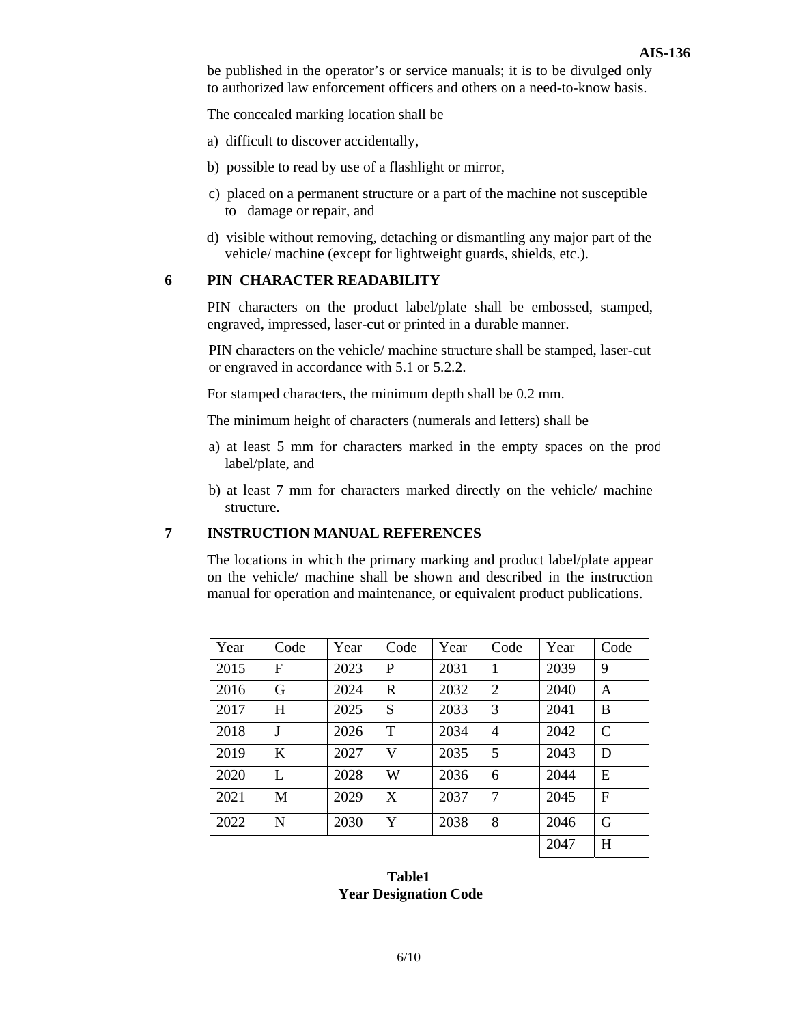be published in the operator's or service manuals; it is to be divulged only to authorized law enforcement officers and others on a need-to-know basis.

The concealed marking location shall be

- a) difficult to discover accidentally,
- b) possible to read by use of a flashlight or mirror,
- c) placed on a permanent structure or a part of the machine not susceptible to damage or repair, and
- d) visible without removing, detaching or dismantling any major part of the vehicle/ machine (except for lightweight guards, shields, etc.).

## **6 PIN CHARACTER READABILITY**

 PIN characters on the product label/plate shall be embossed, stamped, engraved, impressed, laser-cut or printed in a durable manner.

 PIN characters on the vehicle/ machine structure shall be stamped, laser-cut or engraved in accordance with 5.1 or 5.2.2.

For stamped characters, the minimum depth shall be 0.2 mm.

The minimum height of characters (numerals and letters) shall be

- a) at least 5 mm for characters marked in the empty spaces on the prod label/plate, and
- b) at least 7 mm for characters marked directly on the vehicle/ machine structure.

## **7 INSTRUCTION MANUAL REFERENCES**

 The locations in which the primary marking and product label/plate appear on the vehicle/ machine shall be shown and described in the instruction manual for operation and maintenance, or equivalent product publications.

| Year | Code         | Year | Code         | Year | Code           | Year | Code          |
|------|--------------|------|--------------|------|----------------|------|---------------|
| 2015 | F            | 2023 | P            | 2031 | 1              | 2039 | 9             |
| 2016 | G            | 2024 | $\mathbb{R}$ | 2032 | $\overline{2}$ | 2040 | A             |
| 2017 | Н            | 2025 | S            | 2033 | 3              | 2041 | B             |
| 2018 | $\mathbf{J}$ | 2026 | T            | 2034 | $\overline{4}$ | 2042 | $\mathcal{C}$ |
| 2019 | K            | 2027 | V            | 2035 | 5              | 2043 | D             |
| 2020 | L            | 2028 | W            | 2036 | 6              | 2044 | E             |
| 2021 | M            | 2029 | X            | 2037 | $\overline{7}$ | 2045 | F             |
| 2022 | N            | 2030 | Y            | 2038 | 8              | 2046 | G             |
|      |              |      |              |      |                | 2047 | H             |

## **Table1 Year Designation Code**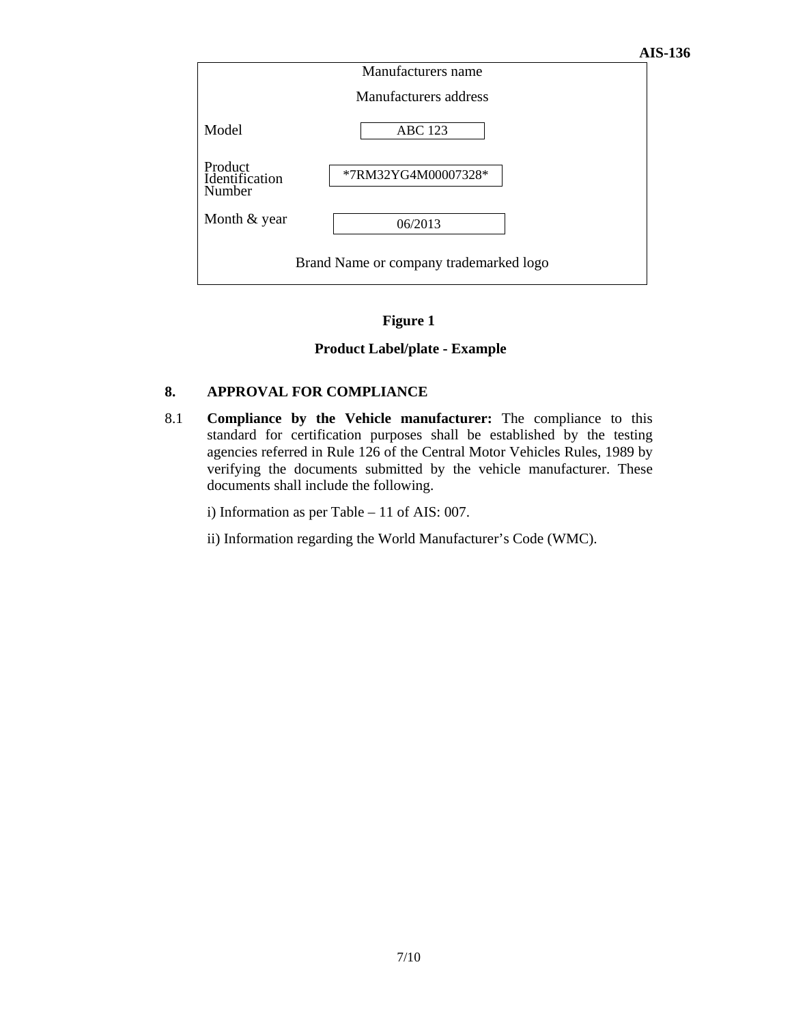

## **Figure 1**

## **Product Label/plate - Example**

## **8. APPROVAL FOR COMPLIANCE**

8.1 **Compliance by the Vehicle manufacturer:** The compliance to this standard for certification purposes shall be established by the testing agencies referred in Rule 126 of the Central Motor Vehicles Rules, 1989 by verifying the documents submitted by the vehicle manufacturer. These documents shall include the following.

i) Information as per Table – 11 of AIS: 007.

ii) Information regarding the World Manufacturer's Code (WMC).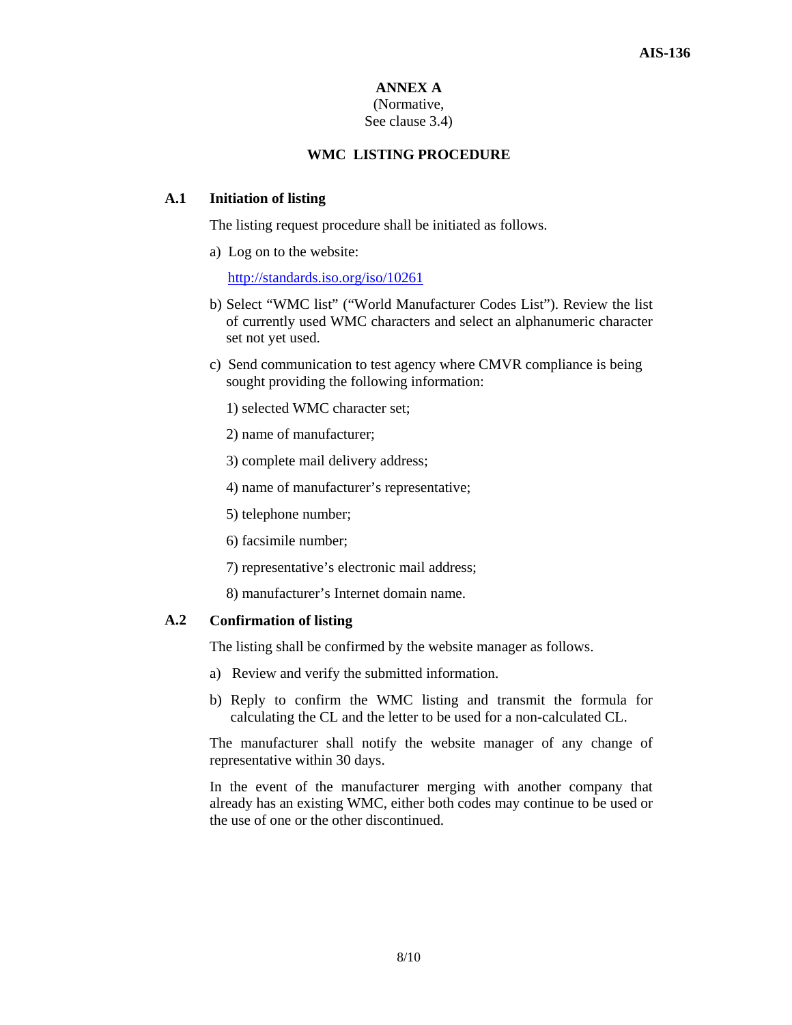## **ANNEX A**

#### (Normative, See clause 3.4)

## **WMC LISTING PROCEDURE**

## **A.1 Initiation of listing**

The listing request procedure shall be initiated as follows.

a) Log on to the website:

http://standards.iso.org/iso/10261

- b) Select "WMC list" ("World Manufacturer Codes List"). Review the list of currently used WMC characters and select an alphanumeric character set not yet used.
- c) Send communication to test agency where CMVR compliance is being sought providing the following information:
	- 1) selected WMC character set;
	- 2) name of manufacturer;
	- 3) complete mail delivery address;
	- 4) name of manufacturer's representative;
	- 5) telephone number;
	- 6) facsimile number;
	- 7) representative's electronic mail address;
	- 8) manufacturer's Internet domain name.

## **A.2 Confirmation of listing**

The listing shall be confirmed by the website manager as follows.

- a) Review and verify the submitted information.
- b) Reply to confirm the WMC listing and transmit the formula for calculating the CL and the letter to be used for a non-calculated CL.

The manufacturer shall notify the website manager of any change of representative within 30 days.

In the event of the manufacturer merging with another company that already has an existing WMC, either both codes may continue to be used or the use of one or the other discontinued.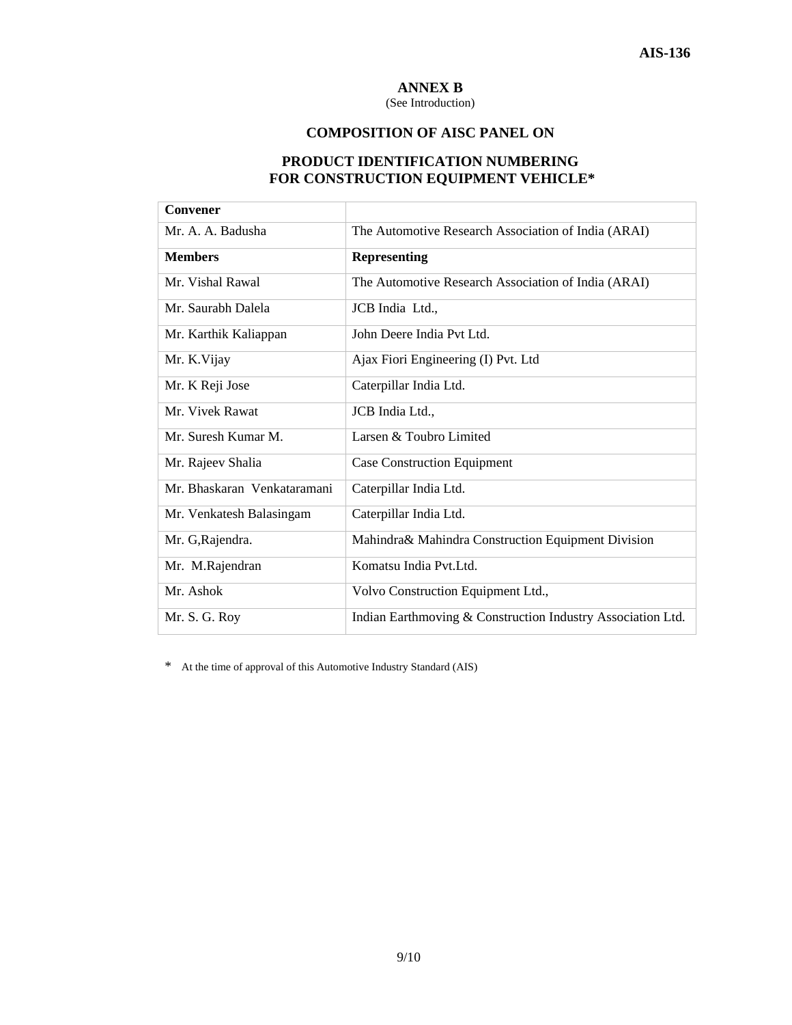## **ANNEX B**

(See Introduction)

## **COMPOSITION OF AISC PANEL ON**

## **PRODUCT IDENTIFICATION NUMBERING FOR CONSTRUCTION EQUIPMENT VEHICLE\***

| Convener                    |                                                             |
|-----------------------------|-------------------------------------------------------------|
| Mr. A. A. Badusha           | The Automotive Research Association of India (ARAI)         |
| <b>Members</b>              | <b>Representing</b>                                         |
| Mr. Vishal Rawal            | The Automotive Research Association of India (ARAI)         |
| Mr. Saurabh Dalela          | JCB India Ltd.,                                             |
| Mr. Karthik Kaliappan       | John Deere India Pvt Ltd.                                   |
| Mr. K.Vijay                 | Ajax Fiori Engineering (I) Pvt. Ltd                         |
| Mr. K Reji Jose             | Caterpillar India Ltd.                                      |
| Mr. Vivek Rawat             | JCB India Ltd.,                                             |
| Mr. Suresh Kumar M.         | Larsen & Toubro Limited                                     |
| Mr. Rajeev Shalia           | <b>Case Construction Equipment</b>                          |
| Mr. Bhaskaran Venkataramani | Caterpillar India Ltd.                                      |
| Mr. Venkatesh Balasingam    | Caterpillar India Ltd.                                      |
| Mr. G, Rajendra.            | Mahindra& Mahindra Construction Equipment Division          |
| Mr. M.Rajendran             | Komatsu India Pvt.Ltd.                                      |
| Mr. Ashok                   | Volvo Construction Equipment Ltd.,                          |
| Mr. S. G. Roy               | Indian Earthmoving & Construction Industry Association Ltd. |

\* At the time of approval of this Automotive Industry Standard (AIS)